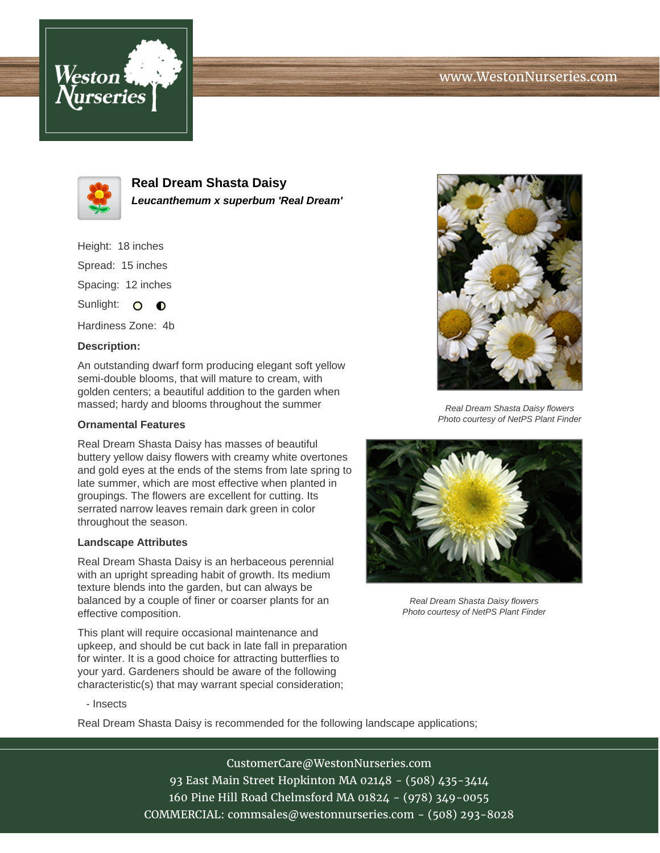# www.WestonNurseries.com





**Real Dream Shasta Daisy Leucanthemum x superbum 'Real Dream'**

Height: 18 inches Spread: 15 inches Spacing: 12 inches Sunlight:  $\Omega$  $\bullet$ 

Hardiness Zone: 4b

### **Description:**

An outstanding dwarf form producing elegant soft yellow semi-double blooms, that will mature to cream, with golden centers; a beautiful addition to the garden when massed; hardy and blooms throughout the summer

### **Ornamental Features**

Real Dream Shasta Daisy has masses of beautiful buttery yellow daisy flowers with creamy white overtones and gold eyes at the ends of the stems from late spring to late summer, which are most effective when planted in groupings. The flowers are excellent for cutting. Its serrated narrow leaves remain dark green in color throughout the season.

#### **Landscape Attributes**

Real Dream Shasta Daisy is an herbaceous perennial with an upright spreading habit of growth. Its medium texture blends into the garden, but can always be balanced by a couple of finer or coarser plants for an effective composition.

This plant will require occasional maintenance and upkeep, and should be cut back in late fall in preparation for winter. It is a good choice for attracting butterflies to your yard. Gardeners should be aware of the following characteristic(s) that may warrant special consideration;



Real Dream Shasta Daisy flowers Photo courtesy of NetPS Plant Finder



Real Dream Shasta Daisy flowers Photo courtesy of NetPS Plant Finder

- Insects

Real Dream Shasta Daisy is recommended for the following landscape applications;

CustomerCare@WestonNurseries.com 93 East Main Street Hopkinton MA 02148 - (508) 435-3414 160 Pine Hill Road Chelmsford MA 01824 - (978) 349-0055 COMMERCIAL: commsales@westonnurseries.com - (508) 293-8028